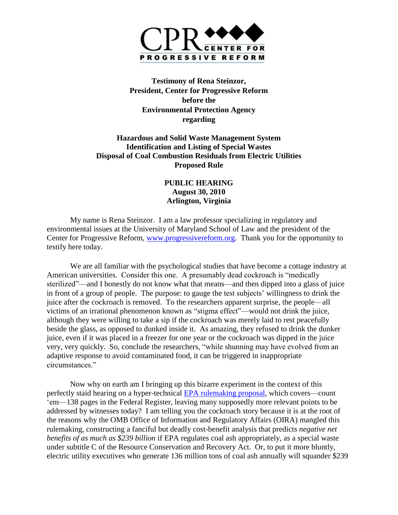

**Testimony of Rena Steinzor, President, Center for Progressive Reform before the Environmental Protection Agency regarding** 

## **Hazardous and Solid Waste Management System Identification and Listing of Special Wastes Disposal of Coal Combustion Residuals from Electric Utilities Proposed Rule**

## **PUBLIC HEARING August 30, 2010 Arlington, Virginia**

My name is Rena Steinzor. I am a law professor specializing in regulatory and environmental issues at the University of Maryland School of Law and the president of the Center for Progressive Reform, [www.progressivereform.org.](http://www.progressivereform.org/) Thank you for the opportunity to testify here today.

We are all familiar with the psychological studies that have become a cottage industry at American universities. Consider this one. A presumably dead cockroach is "medically sterilized"—and I honestly do not know what that means—and then dipped into a glass of juice in front of a group of people. The purpose: to gauge the test subjects' willingness to drink the juice after the cockroach is removed. To the researchers apparent surprise, the people—all victims of an irrational phenomenon known as "stigma effect"—would not drink the juice, although they were willing to take a sip if the cockroach was merely laid to rest peacefully beside the glass, as opposed to dunked inside it. As amazing, they refused to drink the dunker juice, even if it was placed in a freezer for one year or the cockroach was dipped in the juice very, very quickly. So, conclude the researchers, "while shunning may have evolved from an adaptive response to avoid contaminated food, it can be triggered in inappropriate circumstances."

Now why on earth am I bringing up this bizarre experiment in the context of this perfectly staid hearing on a hyper-technical [EPA rulemaking proposal,](http://www.federalregister.gov/articles/2010/08/20/2010-20703/hazardous-and-solid-waste-management-system-identification-and-listing-of-special-wastes-disposal-of) which covers—count "em—138 pages in the Federal Register, leaving many supposedly more relevant points to be addressed by witnesses today? I am telling you the cockroach story because it is at the root of the reasons why the OMB Office of Information and Regulatory Affairs (OIRA) mangled this rulemaking, constructing a fanciful but deadly cost-benefit analysis that predicts *negative net benefits of as much as \$239 billion* if EPA regulates coal ash appropriately, as a special waste under subtitle C of the Resource Conservation and Recovery Act. Or, to put it more bluntly, electric utility executives who generate 136 million tons of coal ash annually will squander \$239